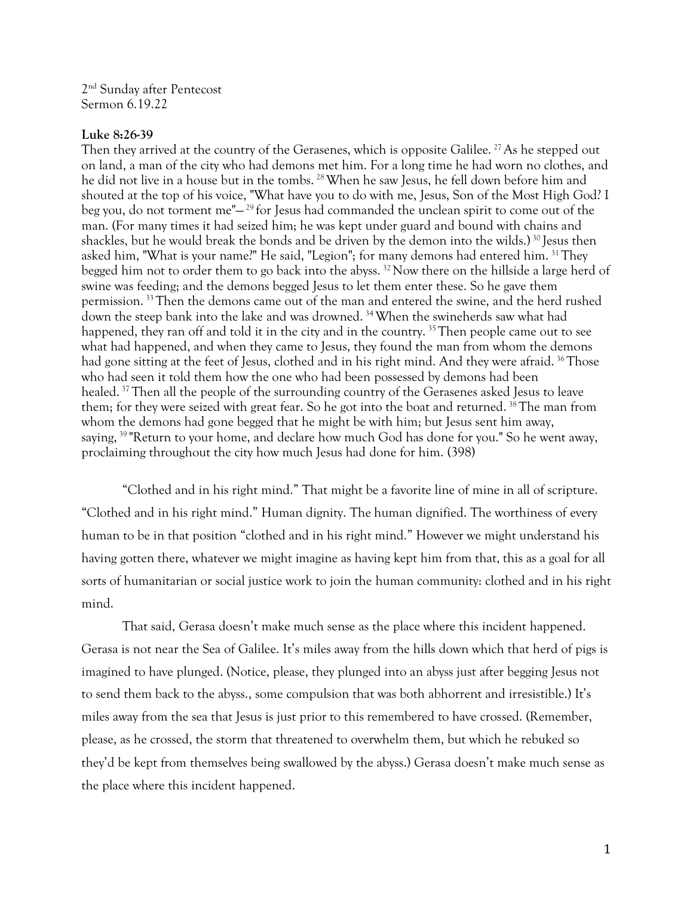2 nd Sunday after Pentecost Sermon 6.19.22

## **Luke 8:26-39**

Then they arrived at the country of the Gerasenes, which is opposite Galilee.<sup>27</sup>As he stepped out on land, a man of the city who had demons met him. For a long time he had worn no clothes, and he did not live in a house but in the tombs.<sup>28</sup> When he saw Jesus, he fell down before him and shouted at the top of his voice, "What have you to do with me, Jesus, Son of the Most High God? I beg you, do not torment me"— <sup>29</sup> for Jesus had commanded the unclean spirit to come out of the man. (For many times it had seized him; he was kept under guard and bound with chains and shackles, but he would break the bonds and be driven by the demon into the wilds.) <sup>30</sup> Jesus then asked him, "What is your name?" He said, "Legion"; for many demons had entered him. <sup>31</sup>They begged him not to order them to go back into the abyss. <sup>32</sup>Now there on the hillside a large herd of swine was feeding; and the demons begged Jesus to let them enter these. So he gave them permission.  $33$  Then the demons came out of the man and entered the swine, and the herd rushed down the steep bank into the lake and was drowned. <sup>34</sup>When the swineherds saw what had happened, they ran off and told it in the city and in the country.<sup>35</sup> Then people came out to see what had happened, and when they came to Jesus, they found the man from whom the demons had gone sitting at the feet of Jesus, clothed and in his right mind. And they were afraid. <sup>36</sup>Those who had seen it told them how the one who had been possessed by demons had been healed.<sup>37</sup>Then all the people of the surrounding country of the Gerasenes asked Jesus to leave them; for they were seized with great fear. So he got into the boat and returned. <sup>38</sup>The man from whom the demons had gone begged that he might be with him; but Jesus sent him away, saying,<sup>39</sup> "Return to your home, and declare how much God has done for you." So he went away, proclaiming throughout the city how much Jesus had done for him. (398)

"Clothed and in his right mind." That might be a favorite line of mine in all of scripture. "Clothed and in his right mind." Human dignity. The human dignified. The worthiness of every human to be in that position "clothed and in his right mind." However we might understand his having gotten there, whatever we might imagine as having kept him from that, this as a goal for all sorts of humanitarian or social justice work to join the human community: clothed and in his right mind.

That said, Gerasa doesn't make much sense as the place where this incident happened. Gerasa is not near the Sea of Galilee. It's miles away from the hills down which that herd of pigs is imagined to have plunged. (Notice, please, they plunged into an abyss just after begging Jesus not to send them back to the abyss., some compulsion that was both abhorrent and irresistible.) It's miles away from the sea that Jesus is just prior to this remembered to have crossed. (Remember, please, as he crossed, the storm that threatened to overwhelm them, but which he rebuked so they'd be kept from themselves being swallowed by the abyss.) Gerasa doesn't make much sense as the place where this incident happened.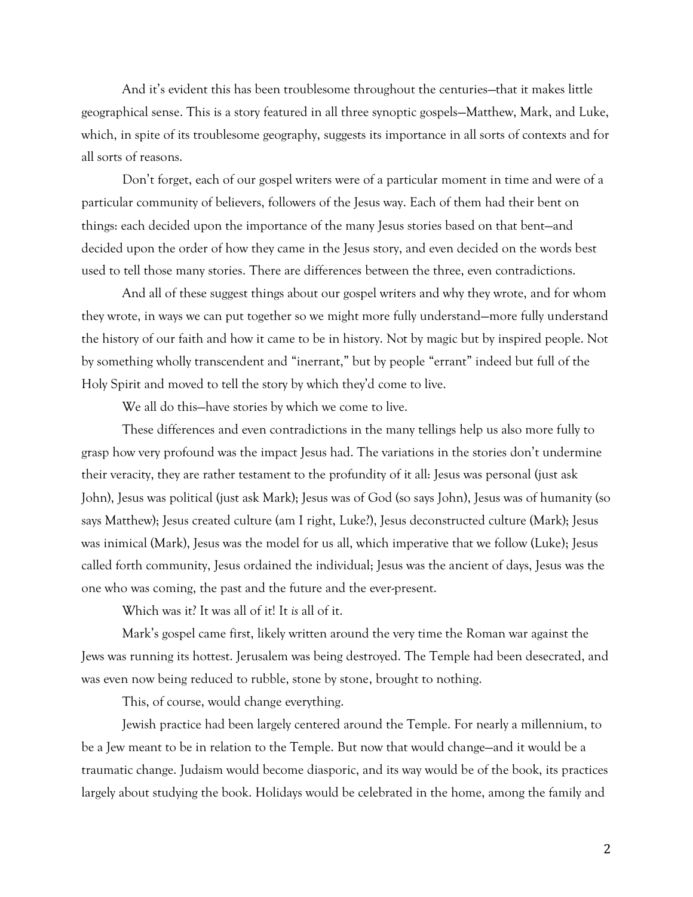And it's evident this has been troublesome throughout the centuries—that it makes little geographical sense. This is a story featured in all three synoptic gospels—Matthew, Mark, and Luke, which, in spite of its troublesome geography, suggests its importance in all sorts of contexts and for all sorts of reasons.

Don't forget, each of our gospel writers were of a particular moment in time and were of a particular community of believers, followers of the Jesus way. Each of them had their bent on things: each decided upon the importance of the many Jesus stories based on that bent—and decided upon the order of how they came in the Jesus story, and even decided on the words best used to tell those many stories. There are differences between the three, even contradictions.

And all of these suggest things about our gospel writers and why they wrote, and for whom they wrote, in ways we can put together so we might more fully understand—more fully understand the history of our faith and how it came to be in history. Not by magic but by inspired people. Not by something wholly transcendent and "inerrant," but by people "errant" indeed but full of the Holy Spirit and moved to tell the story by which they'd come to live.

We all do this—have stories by which we come to live.

These differences and even contradictions in the many tellings help us also more fully to grasp how very profound was the impact Jesus had. The variations in the stories don't undermine their veracity, they are rather testament to the profundity of it all: Jesus was personal (just ask John), Jesus was political (just ask Mark); Jesus was of God (so says John), Jesus was of humanity (so says Matthew); Jesus created culture (am I right, Luke?), Jesus deconstructed culture (Mark); Jesus was inimical (Mark), Jesus was the model for us all, which imperative that we follow (Luke); Jesus called forth community, Jesus ordained the individual; Jesus was the ancient of days, Jesus was the one who was coming, the past and the future and the ever-present.

Which was it? It was all of it! It *is* all of it.

Mark's gospel came first, likely written around the very time the Roman war against the Jews was running its hottest. Jerusalem was being destroyed. The Temple had been desecrated, and was even now being reduced to rubble, stone by stone, brought to nothing.

This, of course, would change everything.

Jewish practice had been largely centered around the Temple. For nearly a millennium, to be a Jew meant to be in relation to the Temple. But now that would change—and it would be a traumatic change. Judaism would become diasporic, and its way would be of the book, its practices largely about studying the book. Holidays would be celebrated in the home, among the family and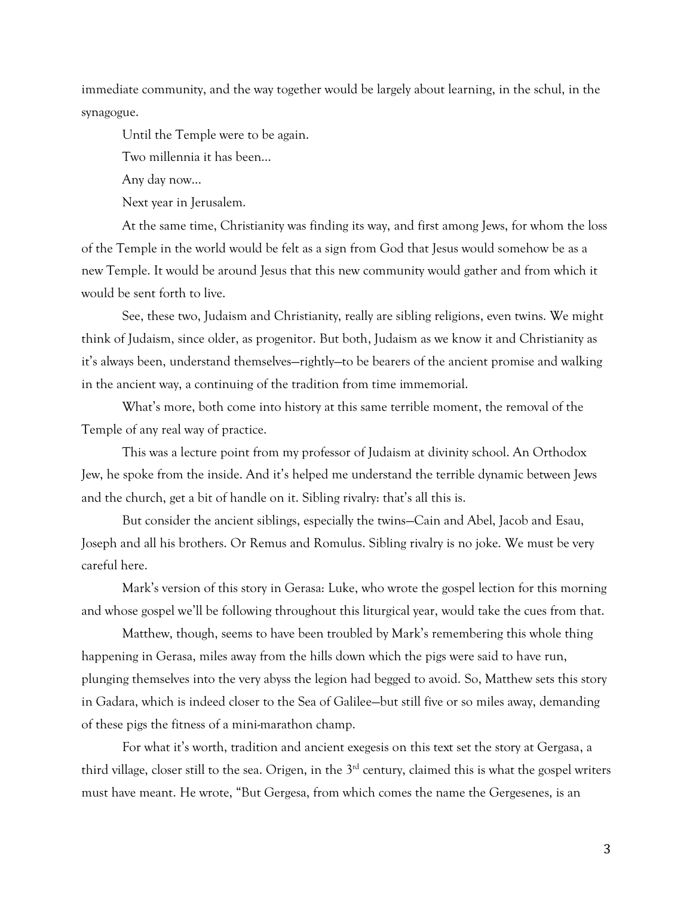immediate community, and the way together would be largely about learning, in the schul, in the synagogue.

Until the Temple were to be again.

Two millennia it has been…

Any day now…

Next year in Jerusalem.

At the same time, Christianity was finding its way, and first among Jews, for whom the loss of the Temple in the world would be felt as a sign from God that Jesus would somehow be as a new Temple. It would be around Jesus that this new community would gather and from which it would be sent forth to live.

See, these two, Judaism and Christianity, really are sibling religions, even twins. We might think of Judaism, since older, as progenitor. But both, Judaism as we know it and Christianity as it's always been, understand themselves—rightly—to be bearers of the ancient promise and walking in the ancient way, a continuing of the tradition from time immemorial.

What's more, both come into history at this same terrible moment, the removal of the Temple of any real way of practice.

This was a lecture point from my professor of Judaism at divinity school. An Orthodox Jew, he spoke from the inside. And it's helped me understand the terrible dynamic between Jews and the church, get a bit of handle on it. Sibling rivalry: that's all this is.

But consider the ancient siblings, especially the twins—Cain and Abel, Jacob and Esau, Joseph and all his brothers. Or Remus and Romulus. Sibling rivalry is no joke. We must be very careful here.

Mark's version of this story in Gerasa: Luke, who wrote the gospel lection for this morning and whose gospel we'll be following throughout this liturgical year, would take the cues from that.

Matthew, though, seems to have been troubled by Mark's remembering this whole thing happening in Gerasa, miles away from the hills down which the pigs were said to have run, plunging themselves into the very abyss the legion had begged to avoid. So, Matthew sets this story in Gadara, which is indeed closer to the Sea of Galilee—but still five or so miles away, demanding of these pigs the fitness of a mini-marathon champ.

For what it's worth, tradition and ancient exegesis on this text set the story at Gergasa, a third village, closer still to the sea. Origen, in the  $3<sup>rd</sup>$  century, claimed this is what the gospel writers must have meant. He wrote, "But Gergesa, from which comes the name the Gergesenes, is an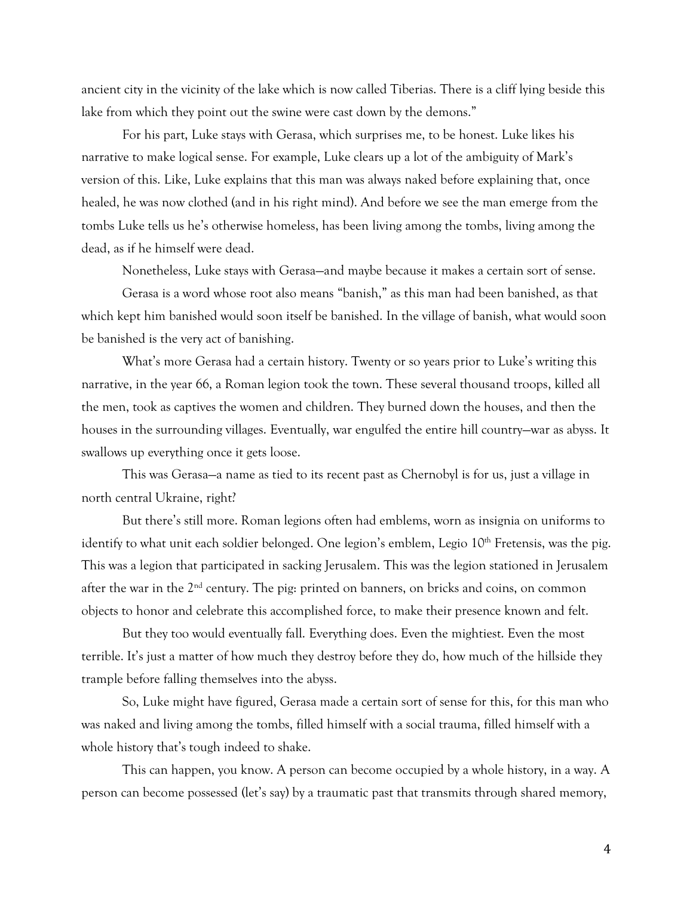ancient city in the vicinity of the lake which is now called Tiberias. There is a cliff lying beside this lake from which they point out the swine were cast down by the demons."

For his part, Luke stays with Gerasa, which surprises me, to be honest. Luke likes his narrative to make logical sense. For example, Luke clears up a lot of the ambiguity of Mark's version of this. Like, Luke explains that this man was always naked before explaining that, once healed, he was now clothed (and in his right mind). And before we see the man emerge from the tombs Luke tells us he's otherwise homeless, has been living among the tombs, living among the dead, as if he himself were dead.

Nonetheless, Luke stays with Gerasa—and maybe because it makes a certain sort of sense.

Gerasa is a word whose root also means "banish," as this man had been banished, as that which kept him banished would soon itself be banished. In the village of banish, what would soon be banished is the very act of banishing.

What's more Gerasa had a certain history. Twenty or so years prior to Luke's writing this narrative, in the year 66, a Roman legion took the town. These several thousand troops, killed all the men, took as captives the women and children. They burned down the houses, and then the houses in the surrounding villages. Eventually, war engulfed the entire hill country—war as abyss. It swallows up everything once it gets loose.

This was Gerasa—a name as tied to its recent past as Chernobyl is for us, just a village in north central Ukraine, right?

But there's still more. Roman legions often had emblems, worn as insignia on uniforms to identify to what unit each soldier belonged. One legion's emblem, Legio 10<sup>th</sup> Fretensis, was the pig. This was a legion that participated in sacking Jerusalem. This was the legion stationed in Jerusalem after the war in the 2<sup>nd</sup> century. The pig: printed on banners, on bricks and coins, on common objects to honor and celebrate this accomplished force, to make their presence known and felt.

But they too would eventually fall. Everything does. Even the mightiest. Even the most terrible. It's just a matter of how much they destroy before they do, how much of the hillside they trample before falling themselves into the abyss.

So, Luke might have figured, Gerasa made a certain sort of sense for this, for this man who was naked and living among the tombs, filled himself with a social trauma, filled himself with a whole history that's tough indeed to shake.

This can happen, you know. A person can become occupied by a whole history, in a way. A person can become possessed (let's say) by a traumatic past that transmits through shared memory,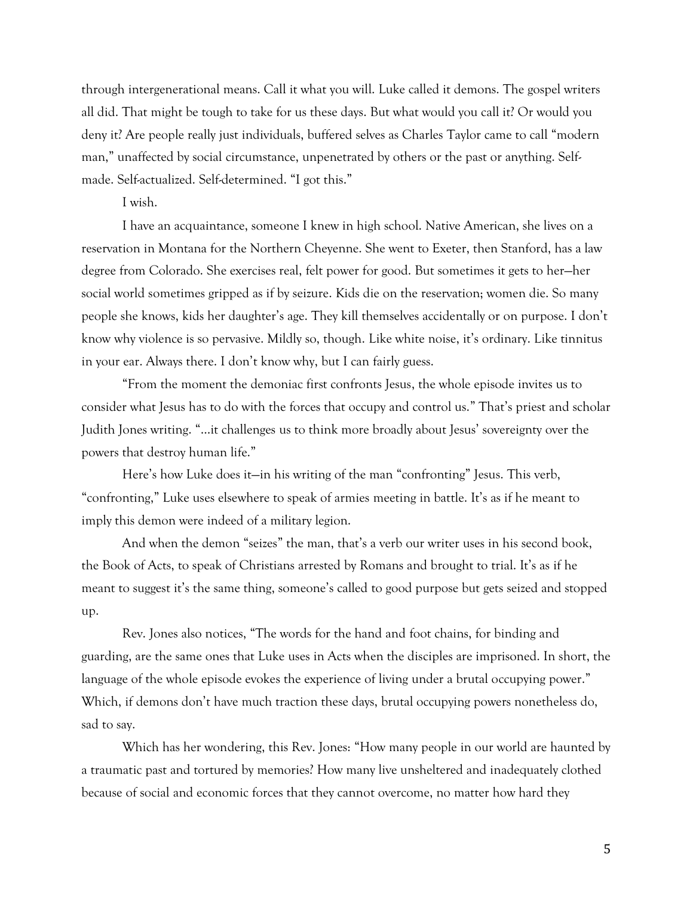through intergenerational means. Call it what you will. Luke called it demons. The gospel writers all did. That might be tough to take for us these days. But what would you call it? Or would you deny it? Are people really just individuals, buffered selves as Charles Taylor came to call "modern man," unaffected by social circumstance, unpenetrated by others or the past or anything. Selfmade. Self-actualized. Self-determined. "I got this."

I wish.

I have an acquaintance, someone I knew in high school. Native American, she lives on a reservation in Montana for the Northern Cheyenne. She went to Exeter, then Stanford, has a law degree from Colorado. She exercises real, felt power for good. But sometimes it gets to her—her social world sometimes gripped as if by seizure. Kids die on the reservation; women die. So many people she knows, kids her daughter's age. They kill themselves accidentally or on purpose. I don't know why violence is so pervasive. Mildly so, though. Like white noise, it's ordinary. Like tinnitus in your ear. Always there. I don't know why, but I can fairly guess.

"From the moment the demoniac first confronts Jesus, the whole episode invites us to consider what Jesus has to do with the forces that occupy and control us." That's priest and scholar Judith Jones writing. "…it challenges us to think more broadly about Jesus' sovereignty over the powers that destroy human life."

Here's how Luke does it—in his writing of the man "confronting" Jesus. This verb, "confronting," Luke uses elsewhere to speak of armies meeting in battle. It's as if he meant to imply this demon were indeed of a military legion.

And when the demon "seizes" the man, that's a verb our writer uses in his second book, the Book of Acts, to speak of Christians arrested by Romans and brought to trial. It's as if he meant to suggest it's the same thing, someone's called to good purpose but gets seized and stopped up.

Rev. Jones also notices, "The words for the hand and foot chains, for binding and guarding, are the same ones that Luke uses in Acts when the disciples are imprisoned. In short, the language of the whole episode evokes the experience of living under a brutal occupying power." Which, if demons don't have much traction these days, brutal occupying powers nonetheless do, sad to say.

Which has her wondering, this Rev. Jones: "How many people in our world are haunted by a traumatic past and tortured by memories? How many live unsheltered and inadequately clothed because of social and economic forces that they cannot overcome, no matter how hard they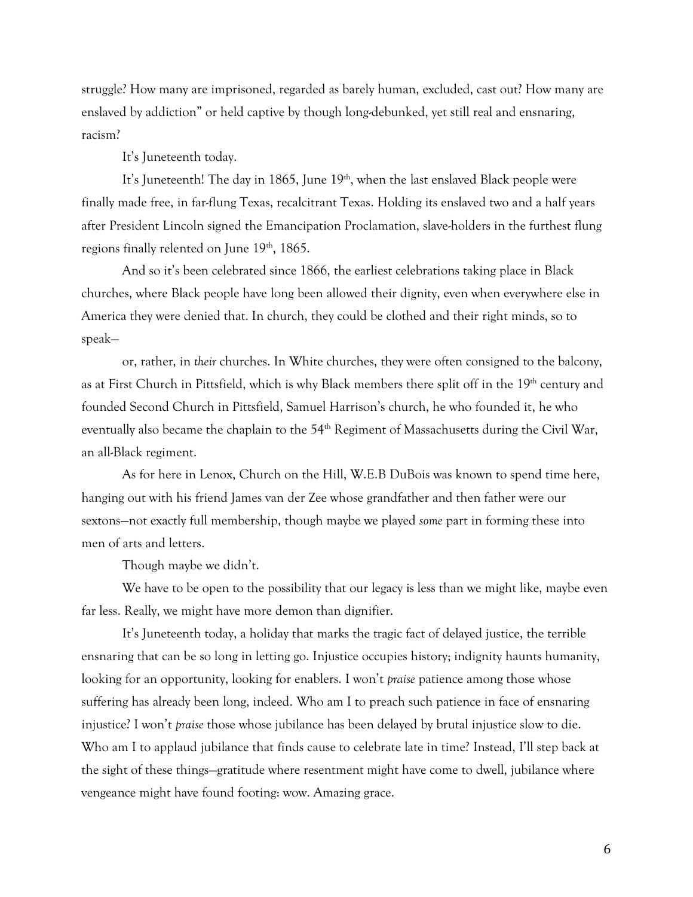struggle? How many are imprisoned, regarded as barely human, excluded, cast out? How many are enslaved by addiction" or held captive by though long-debunked, yet still real and ensnaring, racism?

It's Juneteenth today.

It's Juneteenth! The day in 1865, June 19<sup>th</sup>, when the last enslaved Black people were finally made free, in far-flung Texas, recalcitrant Texas. Holding its enslaved two and a half years after President Lincoln signed the Emancipation Proclamation, slave-holders in the furthest flung regions finally relented on June 19<sup>th</sup>, 1865.

And so it's been celebrated since 1866, the earliest celebrations taking place in Black churches, where Black people have long been allowed their dignity, even when everywhere else in America they were denied that. In church, they could be clothed and their right minds, so to speak—

or, rather, in *their* churches. In White churches, they were often consigned to the balcony, as at First Church in Pittsfield, which is why Black members there split off in the 19<sup>th</sup> century and founded Second Church in Pittsfield, Samuel Harrison's church, he who founded it, he who eventually also became the chaplain to the 54<sup>th</sup> Regiment of Massachusetts during the Civil War, an all-Black regiment.

As for here in Lenox, Church on the Hill, W.E.B DuBois was known to spend time here, hanging out with his friend James van der Zee whose grandfather and then father were our sextons—not exactly full membership, though maybe we played *some* part in forming these into men of arts and letters.

Though maybe we didn't.

We have to be open to the possibility that our legacy is less than we might like, maybe even far less. Really, we might have more demon than dignifier.

It's Juneteenth today, a holiday that marks the tragic fact of delayed justice, the terrible ensnaring that can be so long in letting go. Injustice occupies history; indignity haunts humanity, looking for an opportunity, looking for enablers. I won't *praise* patience among those whose suffering has already been long, indeed. Who am I to preach such patience in face of ensnaring injustice? I won't *praise* those whose jubilance has been delayed by brutal injustice slow to die. Who am I to applaud jubilance that finds cause to celebrate late in time? Instead, I'll step back at the sight of these things—gratitude where resentment might have come to dwell, jubilance where vengeance might have found footing: wow. Amazing grace.